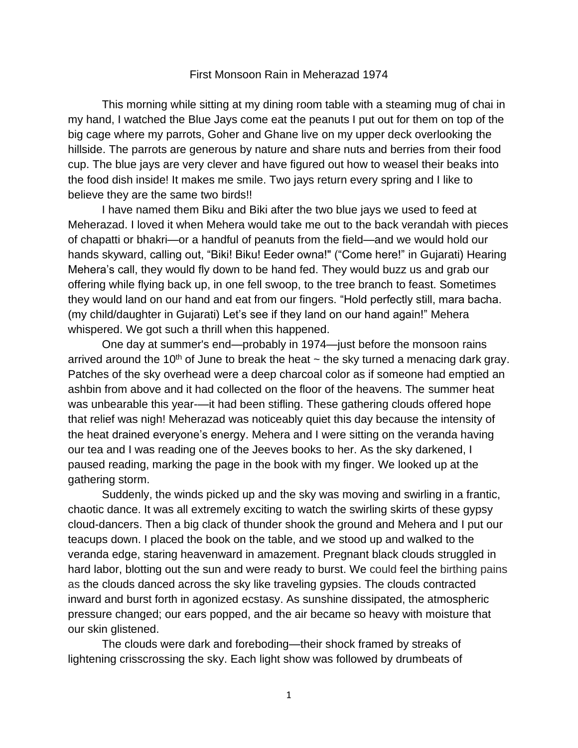## First Monsoon Rain in Meherazad 1974

This morning while sitting at my dining room table with a steaming mug of chai in my hand, I watched the Blue Jays come eat the peanuts I put out for them on top of the big cage where my parrots, Goher and Ghane live on my upper deck overlooking the hillside. The parrots are generous by nature and share nuts and berries from their food cup. The blue jays are very clever and have figured out how to weasel their beaks into the food dish inside! It makes me smile. Two jays return every spring and I like to believe they are the same two birds!!

I have named them Biku and Biki after the two blue jays we used to feed at Meherazad. I loved it when Mehera would take me out to the back verandah with pieces of chapatti or bhakri—or a handful of peanuts from the field—and we would hold our hands skyward, calling out, "Biki! Biku! Eeder owna!" ("Come here!" in Gujarati) Hearing Mehera's call, they would fly down to be hand fed. They would buzz us and grab our offering while flying back up, in one fell swoop, to the tree branch to feast. Sometimes they would land on our hand and eat from our fingers. "Hold perfectly still, mara bacha. (my child/daughter in Gujarati) Let's see if they land on our hand again!" Mehera whispered. We got such a thrill when this happened.

One day at summer's end—probably in 1974—just before the monsoon rains arrived around the 10<sup>th</sup> of June to break the heat  $\sim$  the sky turned a menacing dark gray. Patches of the sky overhead were a deep charcoal color as if someone had emptied an ashbin from above and it had collected on the floor of the heavens. The summer heat was unbearable this year-—it had been stifling. These gathering clouds offered hope that relief was nigh! Meherazad was noticeably quiet this day because the intensity of the heat drained everyone's energy. Mehera and I were sitting on the veranda having our tea and I was reading one of the Jeeves books to her. As the sky darkened, I paused reading, marking the page in the book with my finger. We looked up at the gathering storm.

Suddenly, the winds picked up and the sky was moving and swirling in a frantic, chaotic dance. It was all extremely exciting to watch the swirling skirts of these gypsy cloud-dancers. Then a big clack of thunder shook the ground and Mehera and I put our teacups down. I placed the book on the table, and we stood up and walked to the veranda edge, staring heavenward in amazement. Pregnant black clouds struggled in hard labor, blotting out the sun and were ready to burst. We could feel the birthing pains as the clouds danced across the sky like traveling gypsies. The clouds contracted inward and burst forth in agonized ecstasy. As sunshine dissipated, the atmospheric pressure changed; our ears popped, and the air became so heavy with moisture that our skin glistened.

The clouds were dark and foreboding—their shock framed by streaks of lightening crisscrossing the sky. Each light show was followed by drumbeats of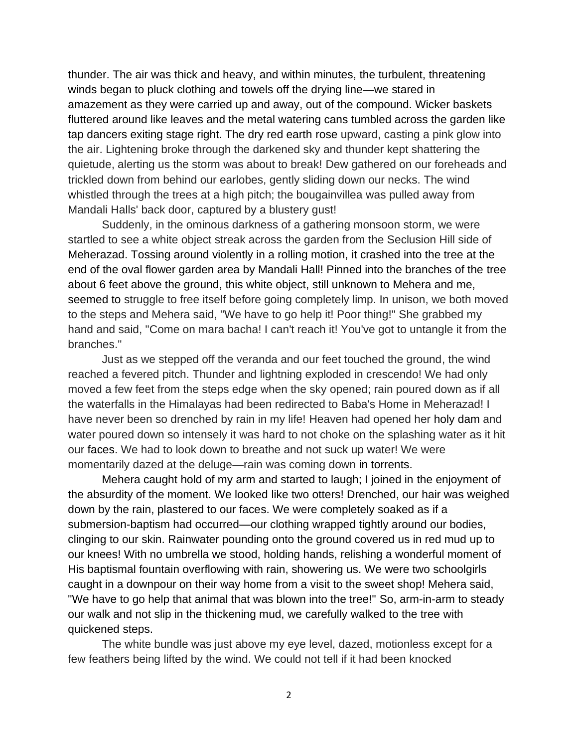thunder. The air was thick and heavy, and within minutes, the turbulent, threatening winds began to pluck clothing and towels off the drying line—we stared in amazement as they were carried up and away, out of the compound. Wicker baskets fluttered around like leaves and the metal watering cans tumbled across the garden like tap dancers exiting stage right. The dry red earth rose upward, casting a pink glow into the air. Lightening broke through the darkened sky and thunder kept shattering the quietude, alerting us the storm was about to break! Dew gathered on our foreheads and trickled down from behind our earlobes, gently sliding down our necks. The wind whistled through the trees at a high pitch; the bougainvillea was pulled away from Mandali Halls' back door, captured by a blustery gust!

Suddenly, in the ominous darkness of a gathering monsoon storm, we were startled to see a white object streak across the garden from the Seclusion Hill side of Meherazad. Tossing around violently in a rolling motion, it crashed into the tree at the end of the oval flower garden area by Mandali Hall! Pinned into the branches of the tree about 6 feet above the ground, this white object, still unknown to Mehera and me, seemed to struggle to free itself before going completely limp. In unison, we both moved to the steps and Mehera said, "We have to go help it! Poor thing!" She grabbed my hand and said, "Come on mara bacha! I can't reach it! You've got to untangle it from the branches."

Just as we stepped off the veranda and our feet touched the ground, the wind reached a fevered pitch. Thunder and lightning exploded in crescendo! We had only moved a few feet from the steps edge when the sky opened; rain poured down as if all the waterfalls in the Himalayas had been redirected to Baba's Home in Meherazad! I have never been so drenched by rain in my life! Heaven had opened her holy dam and water poured down so intensely it was hard to not choke on the splashing water as it hit our faces. We had to look down to breathe and not suck up water! We were momentarily dazed at the deluge—rain was coming down in torrents.

Mehera caught hold of my arm and started to laugh; I joined in the enjoyment of the absurdity of the moment. We looked like two otters! Drenched, our hair was weighed down by the rain, plastered to our faces. We were completely soaked as if a submersion-baptism had occurred—our clothing wrapped tightly around our bodies, clinging to our skin. Rainwater pounding onto the ground covered us in red mud up to our knees! With no umbrella we stood, holding hands, relishing a wonderful moment of His baptismal fountain overflowing with rain, showering us. We were two schoolgirls caught in a downpour on their way home from a visit to the sweet shop! Mehera said, "We have to go help that animal that was blown into the tree!" So, arm-in-arm to steady our walk and not slip in the thickening mud, we carefully walked to the tree with quickened steps.

The white bundle was just above my eye level, dazed, motionless except for a few feathers being lifted by the wind. We could not tell if it had been knocked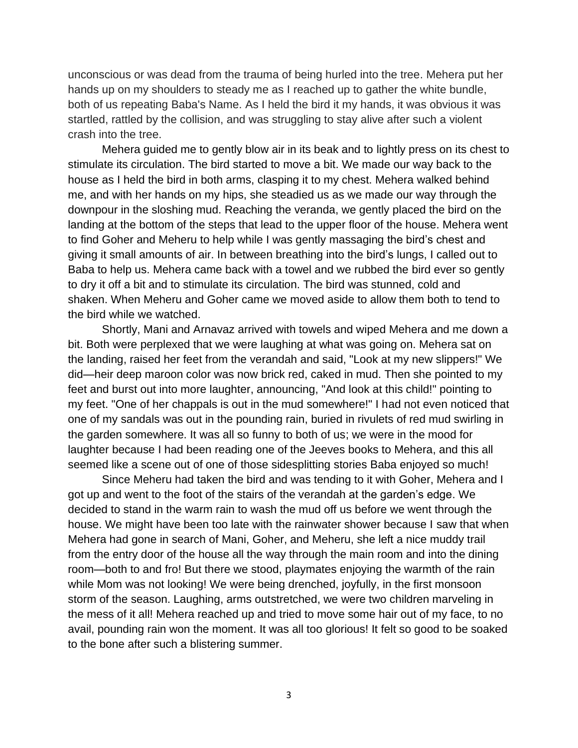unconscious or was dead from the trauma of being hurled into the tree. Mehera put her hands up on my shoulders to steady me as I reached up to gather the white bundle, both of us repeating Baba's Name. As I held the bird it my hands, it was obvious it was startled, rattled by the collision, and was struggling to stay alive after such a violent crash into the tree.

Mehera guided me to gently blow air in its beak and to lightly press on its chest to stimulate its circulation. The bird started to move a bit. We made our way back to the house as I held the bird in both arms, clasping it to my chest. Mehera walked behind me, and with her hands on my hips, she steadied us as we made our way through the downpour in the sloshing mud. Reaching the veranda, we gently placed the bird on the landing at the bottom of the steps that lead to the upper floor of the house. Mehera went to find Goher and Meheru to help while I was gently massaging the bird's chest and giving it small amounts of air. In between breathing into the bird's lungs, I called out to Baba to help us. Mehera came back with a towel and we rubbed the bird ever so gently to dry it off a bit and to stimulate its circulation. The bird was stunned, cold and shaken. When Meheru and Goher came we moved aside to allow them both to tend to the bird while we watched.

Shortly, Mani and Arnavaz arrived with towels and wiped Mehera and me down a bit. Both were perplexed that we were laughing at what was going on. Mehera sat on the landing, raised her feet from the verandah and said, "Look at my new slippers!" We did—heir deep maroon color was now brick red, caked in mud. Then she pointed to my feet and burst out into more laughter, announcing, "And look at this child!" pointing to my feet. "One of her chappals is out in the mud somewhere!" I had not even noticed that one of my sandals was out in the pounding rain, buried in rivulets of red mud swirling in the garden somewhere. It was all so funny to both of us; we were in the mood for laughter because I had been reading one of the Jeeves books to Mehera, and this all seemed like a scene out of one of those sidesplitting stories Baba enjoyed so much!

Since Meheru had taken the bird and was tending to it with Goher, Mehera and I got up and went to the foot of the stairs of the verandah at the garden's edge. We decided to stand in the warm rain to wash the mud off us before we went through the house. We might have been too late with the rainwater shower because I saw that when Mehera had gone in search of Mani, Goher, and Meheru, she left a nice muddy trail from the entry door of the house all the way through the main room and into the dining room—both to and fro! But there we stood, playmates enjoying the warmth of the rain while Mom was not looking! We were being drenched, joyfully, in the first monsoon storm of the season. Laughing, arms outstretched, we were two children marveling in the mess of it all! Mehera reached up and tried to move some hair out of my face, to no avail, pounding rain won the moment. It was all too glorious! It felt so good to be soaked to the bone after such a blistering summer.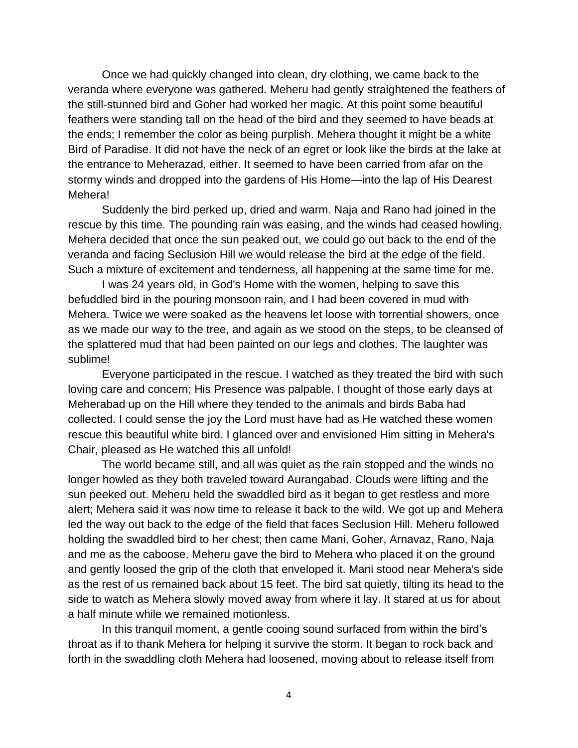Once we had quickly changed into clean, dry clothing, we came back to the veranda where everyone was gathered. Meheru had gently straightened the feathers of the still-stunned bird and Goher had worked her magic. At this point some beautiful feathers were standing tall on the head of the bird and they seemed to have beads at the ends; I remember the color as being purplish. Mehera thought it might be a white Bird of Paradise. It did not have the neck of an egret or look like the birds at the lake at the entrance to Meherazad, either. It seemed to have been carried from afar on the stormy winds and dropped into the gardens of His Home—into the lap of His Dearest Mehera!

Suddenly the bird perked up, dried and warm. Naja and Rano had joined in the rescue by this time. The pounding rain was easing, and the winds had ceased howling. Mehera decided that once the sun peaked out, we could go out back to the end of the veranda and facing Seclusion Hill we would release the bird at the edge of the field. Such a mixture of excitement and tenderness, all happening at the same time for me.

I was 24 years old, in God's Home with the women, helping to save this befuddled bird in the pouring monsoon rain, and I had been covered in mud with Mehera. Twice we were soaked as the heavens let loose with torrential showers, once as we made our way to the tree, and again as we stood on the steps, to be cleansed of the splattered mud that had been painted on our legs and clothes. The laughter was sublime!

Everyone participated in the rescue. I watched as they treated the bird with such loving care and concern; His Presence was palpable. I thought of those early days at Meherabad up on the Hill where they tended to the animals and birds Baba had collected. I could sense the joy the Lord must have had as He watched these women rescue this beautiful white bird. I glanced over and envisioned Him sitting in Mehera's Chair, pleased as He watched this all unfold!

The world became still, and all was quiet as the rain stopped and the winds no longer howled as they both traveled toward Aurangabad. Clouds were lifting and the sun peeked out. Meheru held the swaddled bird as it began to get restless and more alert; Mehera said it was now time to release it back to the wild. We got up and Mehera led the way out back to the edge of the field that faces Seclusion Hill. Meheru followed holding the swaddled bird to her chest; then came Mani, Goher, Arnavaz, Rano, Naja and me as the caboose. Meheru gave the bird to Mehera who placed it on the ground and gently loosed the grip of the cloth that enveloped it. Mani stood near Mehera's side as the rest of us remained back about 15 feet. The bird sat quietly, tilting its head to the side to watch as Mehera slowly moved away from where it lay. It stared at us for about a half minute while we remained motionless.

In this tranquil moment, a gentle cooing sound surfaced from within the bird's throat as if to thank Mehera for helping it survive the storm. It began to rock back and forth in the swaddling cloth Mehera had loosened, moving about to release itself from